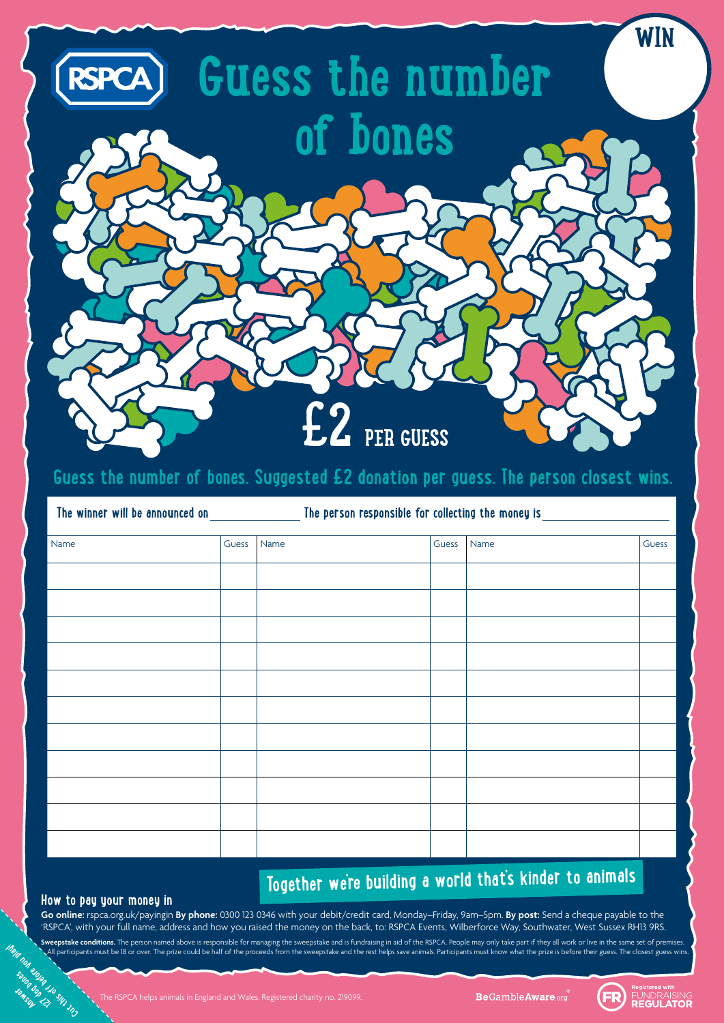

The RSPCA helps animals in England and Wales. Registered charity no. 219099.

**Be**GambleAware.org



| Name | Guess | Name | Guess | Name | Guess |
|------|-------|------|-------|------|-------|
|      |       |      |       |      |       |
|      |       |      |       |      |       |
|      |       |      |       |      |       |
|      |       |      |       |      |       |
|      |       |      |       |      |       |
|      |       |      |       |      |       |
|      |       |      |       |      |       |
|      |       |      |       |      |       |
|      |       |      |       |      |       |
|      |       |      |       |      |       |
|      |       |      |       |      |       |
|      |       |      |       |      |       |
|      |       |      |       |      |       |
|      |       |      |       |      |       |
|      |       |      |       |      |       |

**Answer 127 dog bones**

## **Together we're building a world that's kinder to animals**

**The winner will be announced on The person responsible for collecting the money is**

### **Guess the number of bones. Suggested £2 donation per guess. The person closest wins.**

#### **How to pay your money in**

**Go online:** rspca.org.uk/payingin **By phone:** 0300 123 0346 with your debit/credit card, Monday–Friday, 9am–5pm. **By post:** Send a cheque payable to the 'RSPCA', with your full name, address and how you raised the money on the back, to: RSPCA Events, Wilberforce Way, Southwater, West Sussex RH13 9RS.

**Cut of the Cut of the Before Sweepstate**<br>
But of But of the Sun of the Sun of the Sun of the Sun of the Sun of the Sun of the Sun of the Sun of the Sun of the Sun of the Sun of the Sun of the Sun of the Sun of the Sun of Sweepstake conditions. The person named above is responsible for managing the sweepstake and is fundraising in aid of the RSPCA. People may only take part if they all work or live in the same set of premises. All participants must be 18 or over. The prize could be half of the proceeds from the sweepstake and the rest helps save animals. Participants must know what the prize is before their guess. The closest guess wins.